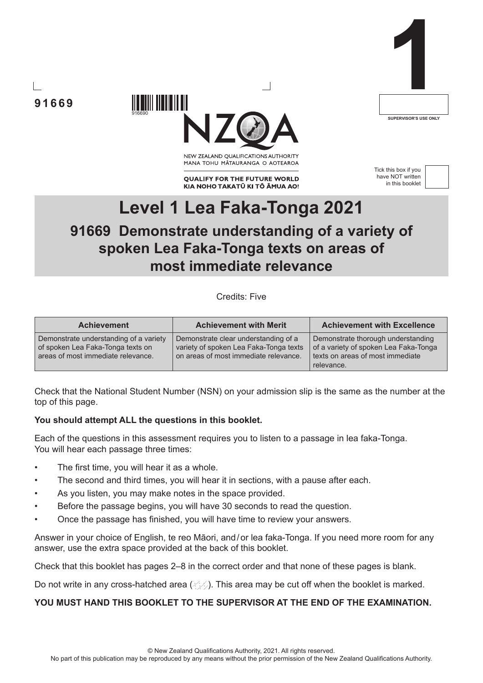**91669**



NEW ZEALAND OUALIFICATIONS AUTHORITY MANA TOHU MATAURANGA O AOTEAROA

**QUALIFY FOR THE FUTURE WORLD** KIA NOHO TAKATŪ KI TŌ ĀMUA AO! Tick this box if you have NOT written in this booklet

**1**

**SUPERVISOR'S USE ONLY**



# **Level 1 Lea Faka-Tonga 2021 91669 Demonstrate understanding of a variety of spoken Lea Faka-Tonga texts on areas of most immediate relevance**

Credits: Five

| <b>Achievement</b>                                                                                                | <b>Achievement with Merit</b>                                                                                           | <b>Achievement with Excellence</b>                                                                                            |
|-------------------------------------------------------------------------------------------------------------------|-------------------------------------------------------------------------------------------------------------------------|-------------------------------------------------------------------------------------------------------------------------------|
| Demonstrate understanding of a variety<br>of spoken Lea Faka-Tonga texts on<br>areas of most immediate relevance. | Demonstrate clear understanding of a<br>variety of spoken Lea Faka-Tonga texts<br>on areas of most immediate relevance. | Demonstrate thorough understanding<br>of a variety of spoken Lea Faka-Tonga<br>texts on areas of most immediate<br>relevance. |

Check that the National Student Number (NSN) on your admission slip is the same as the number at the top of this page.

## **You should attempt ALL the questions in this booklet.**

916690

Each of the questions in this assessment requires you to listen to a passage in lea faka-Tonga. You will hear each passage three times:

- The first time, you will hear it as a whole.
- The second and third times, you will hear it in sections, with a pause after each.
- As you listen, you may make notes in the space provided.
- Before the passage begins, you will have 30 seconds to read the question.
- Once the passage has finished, you will have time to review your answers.

Answer in your choice of English, te reo Māori, and/or lea faka-Tonga. If you need more room for any answer, use the extra space provided at the back of this booklet.

Check that this booklet has pages 2–8 in the correct order and that none of these pages is blank.

Do not write in any cross-hatched area  $(\angle \Diamond)$ . This area may be cut off when the booklet is marked.

## **YOU MUST HAND THIS BOOKLET TO THE SUPERVISOR AT THE END OF THE EXAMINATION.**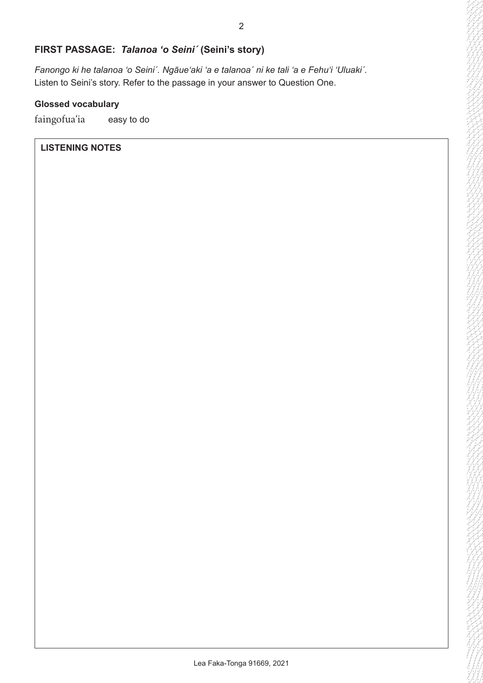# **FIRST PASSAGE:** *Talanoa 'o Seini´* **(Seini's story)**

*Fanongo ki he talanoa 'o Seiniˊ. Ngāueʻaki 'a e talanoaˊ ni ke tali 'a e Fehuʻi ʻUluakiˊ.* Listen to Seini's story. Refer to the passage in your answer to Question One.

# **Glossed vocabulary**

faingofua'ia easy to do

# **LISTENING NOTES**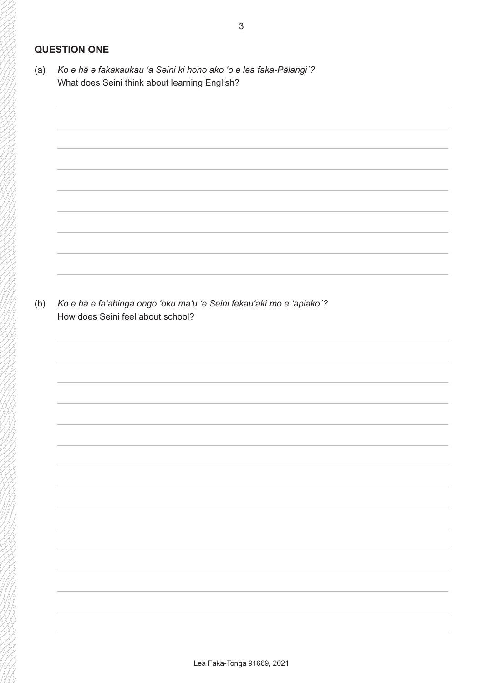# **QUESTION ONE**

(a) *Ko e hā e fakakaukau 'a Seini ki hono ako 'o e lea faka-Pālangiˊ?* What does Seini think about learning English?

(b) *Ko e hā e fa'ahinga ongo 'oku ma'u 'e Seini fekau'aki mo e 'apiakoˊ?* How does Seini feel about school?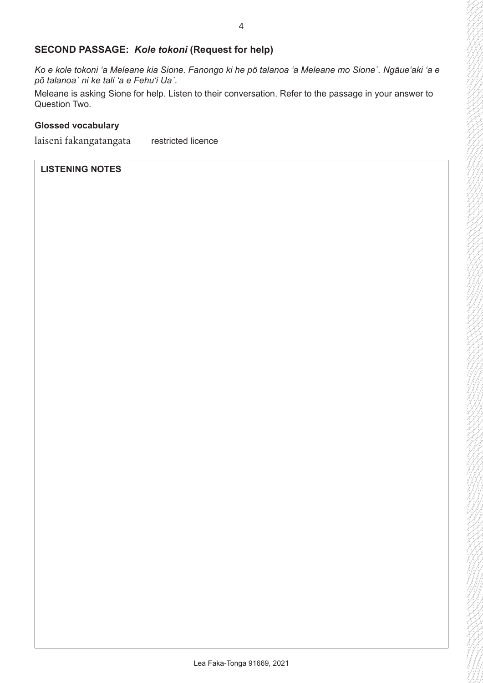## **SECOND PASSAGE:** *Kole tokoni* **(Request for help)**

*Ko e kole tokoni 'a Meleane kia Sione. Fanongo ki he pō talanoa 'a Meleane mo Sione´. Ngāueʻaki 'a e pō talanoa´ ni ke tali 'a e Fehuʻi Uaˊ.*

Meleane is asking Sione for help. Listen to their conversation. Refer to the passage in your answer to Question Two.

#### **Glossed vocabulary**

laiseni fakangatangata restricted licence

### **LISTENING NOTES**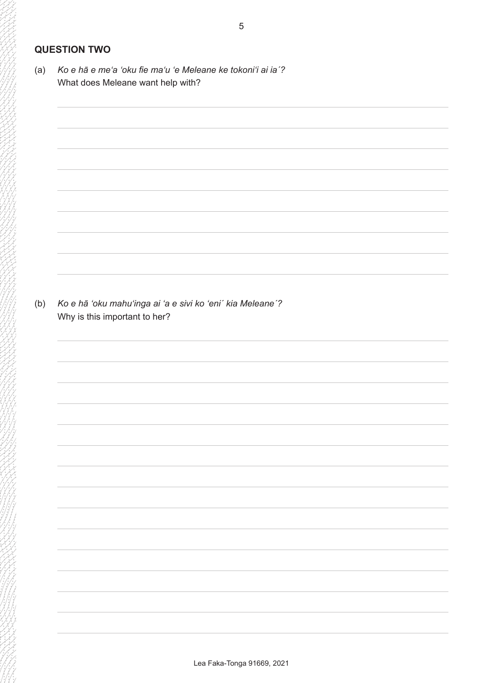# **QUESTION TWO**

(a) *Ko e hā e meʻa 'oku fie ma'u 'e Meleane ke tokoni'i ai ia´?* What does Meleane want help with?

(b) *Ko e hā ʻoku mahu'inga ai 'a e sivi ko 'eni´ kia Meleane´?* Why is this important to her?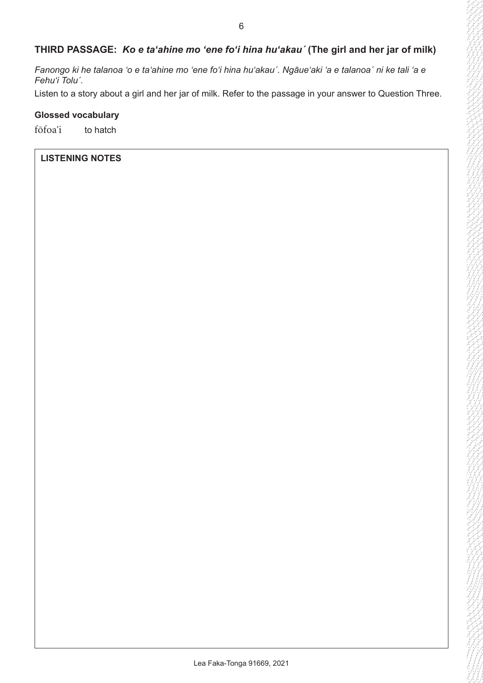# **THIRD PASSAGE:** *Ko e taʻahine mo ʻene fo'i hina huʻakauˊ* **(The girl and her jar of milk)**

*Fanongo ki he talanoa 'o e ta'ahine mo 'ene fo'i hina hu'akauˊ. Ngāueʻaki 'a e talanoaˊ ni ke tali 'a e Fehuʻi Toluˊ.*

Listen to a story about a girl and her jar of milk. Refer to the passage in your answer to Question Three.

## **Glossed vocabulary**

fōfoaʻi to hatch

## **LISTENING NOTES**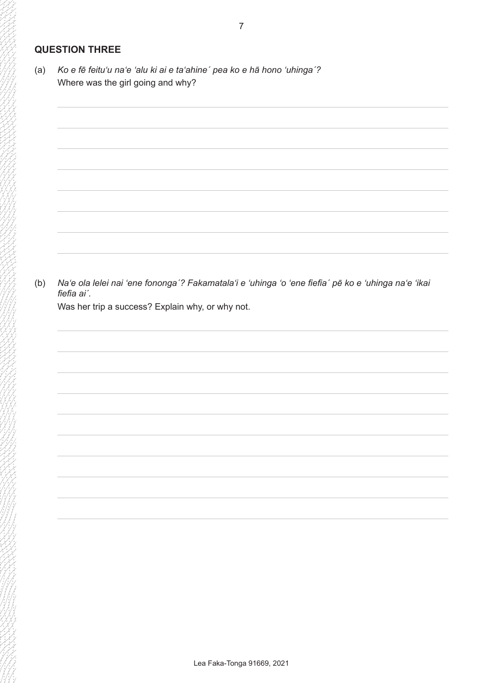# **QUESTION THREE**

(a) *Ko e fē feituʻu naʻe 'alu ki ai e taʻahineˊ pea ko e hā hono 'uhingaˊ?* Where was the girl going and why?

(b) *Naʻe ola lelei nai 'ene fonongaˊ? Fakamatalaʻi e ʻuhinga ʻo ʻene fiefia´ pē ko e ʻuhinga naʻe ʻikai fiefia ai´.*

Was her trip a success? Explain why, or why not.